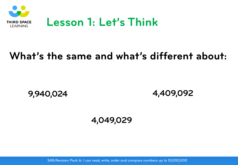

#### **What's the same and what's different about:**

**9,940,024**

**4,409,092**

**4,049,029**

SATs Revision Pack A: I can read, write, order and compare numbers up to 10,000,000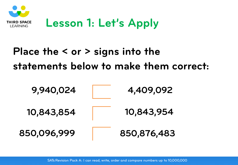

# **Place the < or > signs into the statements below to make them correct:**



SATs Revision Pack A: I can read, write, order and compare numbers up to 10,000,000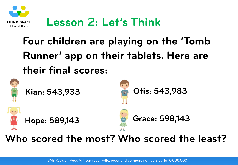

## **Lesson 2: Let's Think**

# **Four children are playing on the 'Tomb Runner' app on their tablets. Here are their final scores:**



#### **Who scored the most? Who scored the least?**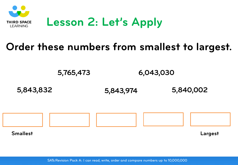

### **Order these numbers from smallest to largest.**

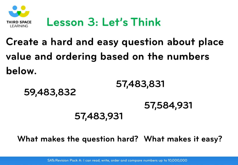

## **Lesson 3: Let's Think**

# **Create a hard and easy question about place value and ordering based on the numbers below.**

**59,483,832 57,483,831 57,584,931 57,483,931**

**What makes the question hard? What makes it easy?**